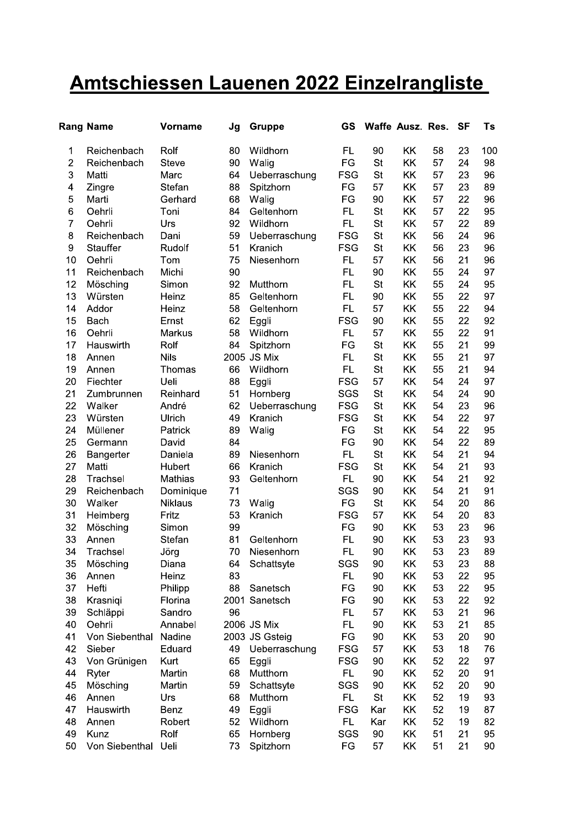## Amtschiessen Lauenen 2022 Einzelrangliste

|                | <b>Rang Name</b> | <b>Vorname</b> | Jg | <b>Gruppe</b>  | GS         |           | Waffe Ausz. Res. |    | <b>SF</b> | Ts  |
|----------------|------------------|----------------|----|----------------|------------|-----------|------------------|----|-----------|-----|
| 1              | Reichenbach      | Rolf           | 80 | Wildhorn       | <b>FL</b>  | 90        | KK               | 58 | 23        | 100 |
| $\overline{2}$ | Reichenbach      | <b>Steve</b>   | 90 | Walig          | FG         | <b>St</b> | KK               | 57 | 24        | 98  |
| 3              | Matti            | Marc           | 64 | Ueberraschung  | <b>FSG</b> | St        | KK               | 57 | 23        | 96  |
| 4              | Zingre           | Stefan         | 88 | Spitzhorn      | FG         | 57        | KK               | 57 | 23        | 89  |
| 5              | Marti            | Gerhard        | 68 | Walig          | FG         | 90        | KK               | 57 | 22        | 96  |
| 6              | Oehrli           | Toni           | 84 | Geltenhorn     | FL         | <b>St</b> | KK               | 57 | 22        | 95  |
| $\overline{7}$ | Oehrli           | Urs            | 92 | Wildhorn       | <b>FL</b>  | <b>St</b> | KK               | 57 | 22        | 89  |
| 8              | Reichenbach      | Dani           | 59 | Ueberraschung  | <b>FSG</b> | <b>St</b> | KK               | 56 | 24        | 96  |
| 9              | Stauffer         | Rudolf         | 51 | Kranich        | <b>FSG</b> | <b>St</b> | KK               | 56 | 23        | 96  |
| 10             | Oehrli           | Tom            | 75 | Niesenhorn     | FL         | 57        | KK               | 56 | 21        | 96  |
| 11             | Reichenbach      | Michi          | 90 |                | <b>FL</b>  | 90        | KK               | 55 | 24        | 97  |
| 12             | Mösching         | Simon          | 92 | Mutthorn       | <b>FL</b>  | <b>St</b> | KK               | 55 | 24        | 95  |
| 13             | Würsten          | Heinz          | 85 | Geltenhorn     | FL.        | 90        | KK               | 55 | 22        | 97  |
| 14             | Addor            | Heinz          | 58 | Geltenhorn     | FL         | 57        | KK               | 55 | 22        | 94  |
| 15             | <b>Bach</b>      | Ernst          | 62 | Eggli          | <b>FSG</b> | 90        | KK               | 55 | 22        | 92  |
| 16             | Oehrli           | Markus         | 58 | Wildhorn       | FL.        | 57        | KK               | 55 | 22        | 91  |
| 17             | Hauswirth        | Rolf           | 84 | Spitzhorn      | FG         | <b>St</b> | KK               | 55 | 21        | 99  |
| 18             | Annen            | <b>Nils</b>    |    | 2005 JS Mix    | FL         | <b>St</b> | KK               | 55 | 21        | 97  |
| 19             | Annen            | Thomas         | 66 | Wildhorn       | FL.        | St        | KK               | 55 | 21        | 94  |
| 20             | Fiechter         | Ueli           | 88 | Eggli          | <b>FSG</b> | 57        | KK               | 54 | 24        | 97  |
| 21             | Zumbrunnen       | Reinhard       | 51 | Hornberg       | SGS        | St        | KK               | 54 | 24        | 90  |
| 22             | Walker           | André          | 62 | Ueberraschung  | <b>FSG</b> | <b>St</b> | KK               | 54 | 23        | 96  |
| 23             | Würsten          | Ulrich         | 49 | Kranich        | <b>FSG</b> | St        | KK               | 54 | 22        | 97  |
| 24             | Müllener         | Patrick        | 89 | Walig          | FG         | St        | KK               | 54 | 22        | 95  |
| 25             | Germann          | David          | 84 |                | FG         | 90        | KK               | 54 | 22        | 89  |
| 26             | Bangerter        | Daniela        | 89 | Niesenhorn     | FL         | St        | KK               | 54 | 21        | 94  |
| 27             | Matti            | Hubert         | 66 | Kranich        | <b>FSG</b> | St        | KK               | 54 | 21        | 93  |
| 28             | Trachsel         | Mathias        | 93 | Geltenhorn     | <b>FL</b>  | 90        | KK               | 54 | 21        | 92  |
| 29             | Reichenbach      | Dominique      | 71 |                | SGS        | 90        | KK               | 54 | 21        | 91  |
| 30             | Walker           | <b>Niklaus</b> | 73 | Walig          | FG         | <b>St</b> | KK               | 54 | 20        | 86  |
| 31             | Heimberg         | Fritz          | 53 | Kranich        | <b>FSG</b> | 57        | KK               | 54 | 20        | 83  |
| 32             | Mösching         | Simon          | 99 |                | FG         | 90        | KK               | 53 | 23        | 96  |
| 33             | Annen            | Stefan         | 81 | Geltenhorn     | FL         | 90        | KK               | 53 | 23        | 93  |
| 34             | Trachsel         | Jörg           | 70 | Niesenhorn     | <b>FL</b>  | 90        | KK               | 53 | 23        | 89  |
| 35             | Mösching         | Diana          | 64 | Schattsyte     | SGS        | 90        | KK               | 53 | 23        | 88  |
| 36             | Annen            | Heinz          | 83 |                | FL         | 90        | KK               | 53 | 22        | 95  |
| 37             | Hefti            | Philipp        | 88 | Sanetsch       | FG         | 90        | KK               | 53 | 22        | 95  |
| 38             | Krasniqi         | Florina        |    | 2001 Sanetsch  | FG         | 90        | KK               | 53 | 22        | 92  |
| 39             | Schläppi         | Sandro         | 96 |                | FL.        | 57        | KK               | 53 | 21        | 96  |
| 40             | Oehrli           | Annabel        |    | 2006 JS Mix    | FL.        | 90        | KK               | 53 | 21        | 85  |
| 41             | Von Siebenthal   | Nadine         |    | 2003 JS Gsteig | FG         | 90        | KK               | 53 | 20        | 90  |
| 42             | Sieber           | Eduard         | 49 | Ueberraschung  | <b>FSG</b> | 57        | KK               | 53 | 18        | 76  |
| 43             | Von Grünigen     | Kurt           | 65 | Eggli          | <b>FSG</b> | 90        | KK               | 52 | 22        | 97  |
| 44             | Ryter            | Martin         | 68 | Mutthorn       | FL.        | 90        | KK               | 52 | 20        | 91  |
| 45             | Mösching         | Martin         | 59 | Schattsyte     | SGS        | 90        | KK               | 52 | 20        | 90  |
| 46             | Annen            | Urs            | 68 | Mutthorn       | FL.        | <b>St</b> | KK               | 52 | 19        | 93  |
| 47             | Hauswirth        | Benz           | 49 | Eggli          | <b>FSG</b> | Kar       | KK               | 52 | 19        | 87  |
| 48             | Annen            | Robert         | 52 | Wildhorn       | FL.        | Kar       | KK               | 52 | 19        | 82  |
| 49             | Kunz             | Rolf           | 65 | Hornberg       | SGS        | 90        | KK               | 51 | 21        | 95  |
| 50             | Von Siebenthal   | Ueli           | 73 | Spitzhorn      | FG         | 57        | KK               | 51 | 21        | 90  |